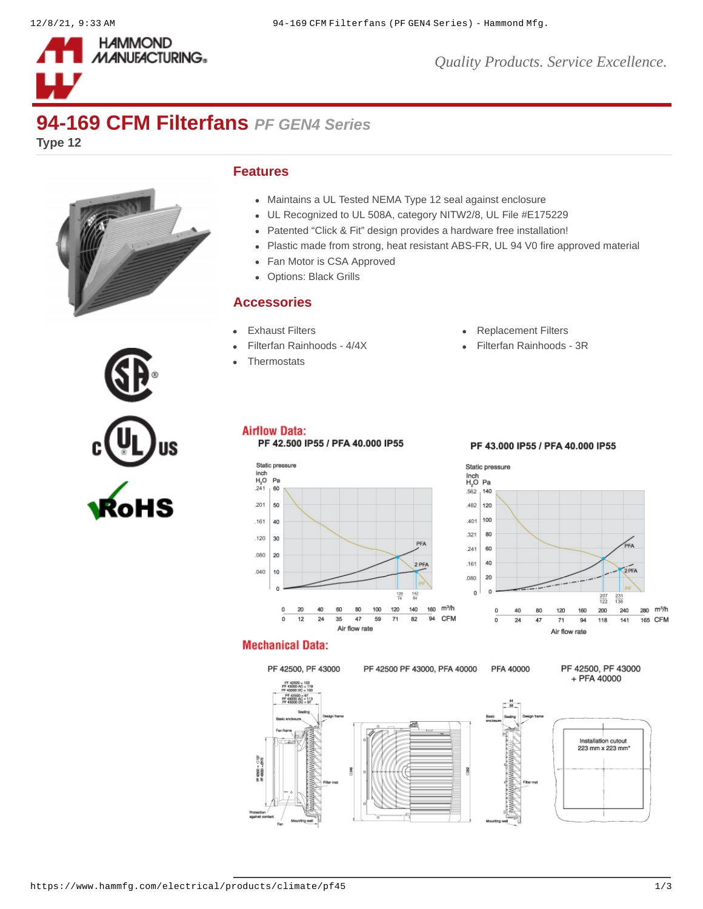

*Quality Products. Service Excellence.*

# **94-169 CFM Filterfans** *PF GEN4 Series*

**Type 12**



### **Features**

- Maintains a UL Tested NEMA Type 12 seal against enclosure
- UL Recognized to UL 508A, category NITW2/8, UL File #E175229
- Patented "Click & Fit" design provides a hardware free installation!  $\bullet$
- Plastic made from strong, heat resistant ABS-FR, UL 94 V0 fire approved material
- Fan Motor is CSA Approved  $\bullet$
- Options: Black Grills  $\bullet$

### **Accessories**

- 
- 
- **[Thermostats](https://www.hammfg.com/electrical/products/climate/skt?referer=412&itm_type=accessory)**
- [Exhaust Filters](https://www.hammfg.com/electrical/products/climate/pfag4?referer=412&itm_type=accessory) **Exhaust Filters [Replacement Filters](https://www.hammfg.com/electrical/products/climate/pffg4?referer=412&itm_type=accessory)**
- [Filterfan Rainhoods 4/4X](https://www.hammfg.com/electrical/products/climate/rhn4?referer=412&itm_type=accessory) **[Filterfan Rainhoods 3R](https://www.hammfg.com/electrical/products/climate/rh?referer=412&itm_type=accessory)**



## **Airflow Data:**

PF 42.500 IP55 / PFA 40.000 IP55

#### Static pressure  $\frac{\text{Inch}}{\text{H}_2\text{O}}$ <br> $.241$  $P<sub>B</sub>$ 60 201  $50$ 161 40 120 30 PFA .080  $\overline{20}$  $2$  PF  $040$  $10$  $\frac{14}{14}$  $\frac{120}{72}$  $m<sup>3</sup>/h$  $\circ$  $\overline{20}$ 40 60 80 100 120 140 160  $\overline{94}$ **CFM**  $\overline{0}$  $\overline{12}$  $\overline{24}$ 35 47 59  $\overline{71}$  $\overline{82}$ Air flow rate

### PF 43.000 IP55 / PFA 40.000 IP55



## **Mechanical Data:**

# PF 42500, PF 43000

PF 42500 PF 43000, PFA 40000 PFA 40000

PF 42500, PF 43000 + PFA 40000